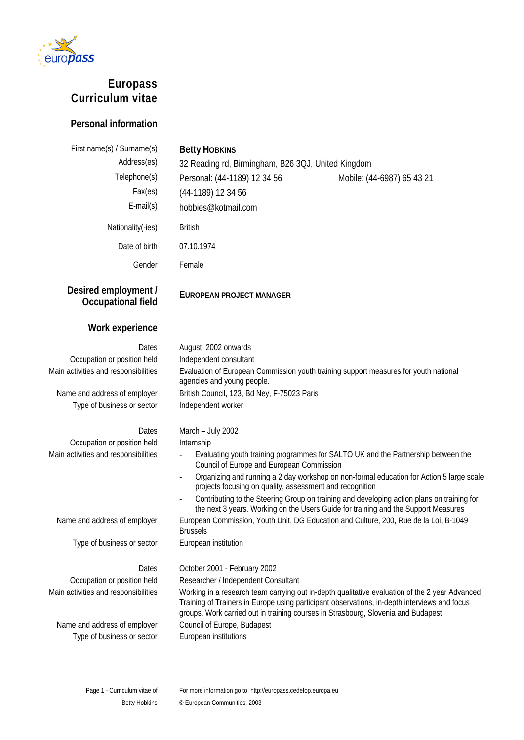

# **Europass Curriculum vitae**

## **Personal information**

| First name(s) / Surname(s) | <b>Betty HOBKINS</b> |
|----------------------------|----------------------|
| Address(es)                | 32 Reading rd, E     |
| Telephone(s)               | Personal: (44-11     |
| Fax(es)                    | (44-1189) 12 34      |
| $E$ -mail $(s)$            | hobbies@kotma        |
| Nationality(-ies)          | <b>British</b>       |
| Date of birth              | 07.10.1974           |

32 Reading rd, Birmingham, B26 3QJ, United Kingdom Personal: (44-1189) 12 34 56 Mobile: (44-6987) 65 43 21 (44-1189) 12 34 56 hobbies@kotmail.com **British** Gender Female

**Desired employment / Occupational field EUROPEAN PROJECT MANAGER**

## **Work experience**

Occupation or position held Independent consultant

Type of business or sector Independent worker

Occupation or position held Internship

Dates August 2002 onwards Main activities and responsibilities Evaluation of European Commission youth training support measures for youth national agencies and young people. Name and address of employer British Council, 123, Bd Ney, F-75023 Paris

### Dates March – July 2002

Brussels

- Main activities and responsibilities Evaluating youth training programmes for SALTO UK and the Partnership between the Council of Europe and European Commission
	- Organizing and running a 2 day workshop on non-formal education for Action 5 large scale projects focusing on quality, assessment and recognition
	- Contributing to the Steering Group on training and developing action plans on training for the next 3 years. Working on the Users Guide for training and the Support Measures

Name and address of employer European Commission, Youth Unit, DG Education and Culture, 200, Rue de la Loi, B-1049

Type of business or sector European institution

Name and address of employer Council of Europe, Budapest Type of business or sector European institutions

Dates October 2001 - February 2002

Occupation or position held Researcher / Independent Consultant

Main activities and responsibilities Working in a research team carrying out in-depth qualitative evaluation of the 2 year Advanced Training of Trainers in Europe using participant observations, in-depth interviews and focus groups. Work carried out in training courses in Strasbourg, Slovenia and Budapest.